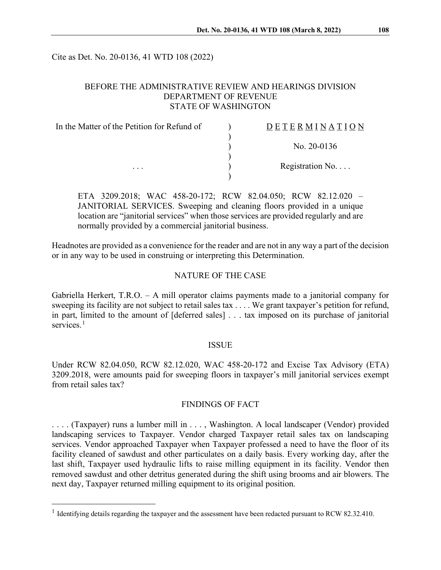Cite as Det. No. 20-0136, 41 WTD 108 (2022)

## BEFORE THE ADMINISTRATIVE REVIEW AND HEARINGS DIVISION DEPARTMENT OF REVENUE STATE OF WASHINGTON

| In the Matter of the Petition for Refund of<br>$\cdots$ | <b>DETERMINATION</b> |
|---------------------------------------------------------|----------------------|
|                                                         | No. $20-0136$        |
|                                                         | Registration $No$    |
|                                                         |                      |

ETA 3209.2018; WAC 458-20-172; RCW 82.04.050; RCW 82.12.020 – JANITORIAL SERVICES. Sweeping and cleaning floors provided in a unique location are "janitorial services" when those services are provided regularly and are normally provided by a commercial janitorial business.

Headnotes are provided as a convenience for the reader and are not in any way a part of the decision or in any way to be used in construing or interpreting this Determination.

### NATURE OF THE CASE

Gabriella Herkert, T.R.O. – A mill operator claims payments made to a janitorial company for sweeping its facility are not subject to retail sales tax . . . . We grant taxpayer's petition for refund, in part, limited to the amount of [deferred sales] . . . tax imposed on its purchase of janitorial services.<sup>[1](#page-0-0)</sup>

#### ISSUE

Under RCW 82.04.050, RCW 82.12.020, WAC 458-20-172 and Excise Tax Advisory (ETA) 3209.2018, were amounts paid for sweeping floors in taxpayer's mill janitorial services exempt from retail sales tax?

#### FINDINGS OF FACT

. . . . (Taxpayer) runs a lumber mill in . . . , Washington. A local landscaper (Vendor) provided landscaping services to Taxpayer. Vendor charged Taxpayer retail sales tax on landscaping services. Vendor approached Taxpayer when Taxpayer professed a need to have the floor of its facility cleaned of sawdust and other particulates on a daily basis. Every working day, after the last shift, Taxpayer used hydraulic lifts to raise milling equipment in its facility. Vendor then removed sawdust and other detritus generated during the shift using brooms and air blowers. The next day, Taxpayer returned milling equipment to its original position.

<span id="page-0-0"></span><sup>&</sup>lt;sup>1</sup> Identifying details regarding the taxpayer and the assessment have been redacted pursuant to RCW 82.32.410.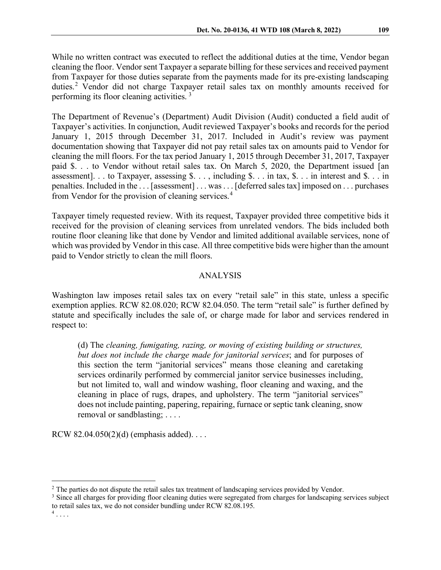While no written contract was executed to reflect the additional duties at the time, Vendor began cleaning the floor. Vendor sent Taxpayer a separate billing for these services and received payment from Taxpayer for those duties separate from the payments made for its pre-existing landscaping duties.<sup>[2](#page-1-0)</sup> Vendor did not charge Taxpayer retail sales tax on monthly amounts received for performing its floor cleaning activities. [3](#page-1-1)

The Department of Revenue's (Department) Audit Division (Audit) conducted a field audit of Taxpayer's activities. In conjunction, Audit reviewed Taxpayer's books and records for the period January 1, 2015 through December 31, 2017. Included in Audit's review was payment documentation showing that Taxpayer did not pay retail sales tax on amounts paid to Vendor for cleaning the mill floors. For the tax period January 1, 2015 through December 31, 2017, Taxpayer paid \$. . . to Vendor without retail sales tax. On March 5, 2020, the Department issued [an assessment]. . . to Taxpayer, assessing  $\hat{\mathcal{S}}$ . . . , including  $\hat{\mathcal{S}}$ . . . in tax,  $\hat{\mathcal{S}}$ . . . in interest and  $\hat{\mathcal{S}}$ . . . in penalties. Included in the . . . [assessment] . . . was . . . [deferred sales tax] imposed on . . . purchases from Vendor for the provision of cleaning services.<sup>[4](#page-1-2)</sup>

Taxpayer timely requested review. With its request, Taxpayer provided three competitive bids it received for the provision of cleaning services from unrelated vendors. The bids included both routine floor cleaning like that done by Vendor and limited additional available services, none of which was provided by Vendor in this case. All three competitive bids were higher than the amount paid to Vendor strictly to clean the mill floors.

# ANALYSIS

Washington law imposes retail sales tax on every "retail sale" in this state, unless a specific exemption applies. RCW 82.08.020; RCW 82.04.050. The term "retail sale" is further defined by statute and specifically includes the sale of, or charge made for labor and services rendered in respect to:

(d) The *cleaning, fumigating, razing, or moving of existing building or structures, but does not include the charge made for janitorial services*; and for purposes of this section the term "janitorial services" means those cleaning and caretaking services ordinarily performed by commercial janitor service businesses including, but not limited to, wall and window washing, floor cleaning and waxing, and the cleaning in place of rugs, drapes, and upholstery. The term "janitorial services" does not include painting, papering, repairing, furnace or septic tank cleaning, snow removal or sandblasting; . . . .

RCW  $82.04.050(2)(d)$  (emphasis added)...

<span id="page-1-0"></span><sup>&</sup>lt;sup>2</sup> The parties do not dispute the retail sales tax treatment of landscaping services provided by Vendor.

<span id="page-1-1"></span><sup>&</sup>lt;sup>3</sup> Since all charges for providing floor cleaning duties were segregated from charges for landscaping services subject to retail sales tax, we do not consider bundling under RCW 82.08.195.

<span id="page-1-2"></span> $4 \ldots$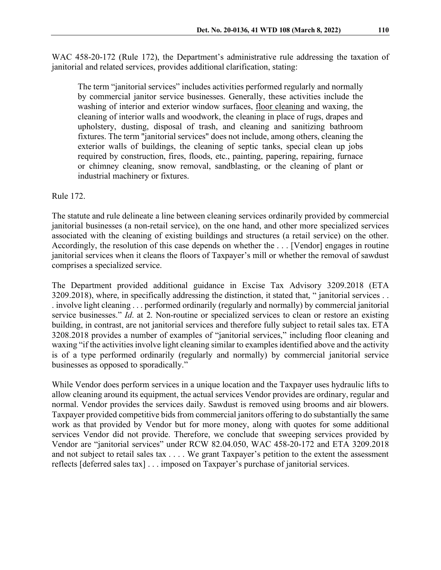WAC 458-20-172 (Rule 172), the Department's administrative rule addressing the taxation of janitorial and related services, provides additional clarification, stating:

The term "janitorial services" includes activities performed regularly and normally by commercial janitor service businesses. Generally, these activities include the washing of interior and exterior window surfaces, floor cleaning and waxing, the cleaning of interior walls and woodwork, the cleaning in place of rugs, drapes and upholstery, dusting, disposal of trash, and cleaning and sanitizing bathroom fixtures. The term "janitorial services" does not include, among others, cleaning the exterior walls of buildings, the cleaning of septic tanks, special clean up jobs required by construction, fires, floods, etc., painting, papering, repairing, furnace or chimney cleaning, snow removal, sandblasting, or the cleaning of plant or industrial machinery or fixtures.

#### Rule 172.

The statute and rule delineate a line between cleaning services ordinarily provided by commercial janitorial businesses (a non-retail service), on the one hand, and other more specialized services associated with the cleaning of existing buildings and structures (a retail service) on the other. Accordingly, the resolution of this case depends on whether the . . . [Vendor] engages in routine janitorial services when it cleans the floors of Taxpayer's mill or whether the removal of sawdust comprises a specialized service.

The Department provided additional guidance in Excise Tax Advisory 3209.2018 (ETA 3209.2018), where, in specifically addressing the distinction, it stated that, " janitorial services . . . involve light cleaning . . . performed ordinarily (regularly and normally) by commercial janitorial service businesses." *Id*. at 2. Non-routine or specialized services to clean or restore an existing building, in contrast, are not janitorial services and therefore fully subject to retail sales tax. ETA 3208.2018 provides a number of examples of "janitorial services," including floor cleaning and waxing "if the activities involve light cleaning similar to examples identified above and the activity is of a type performed ordinarily (regularly and normally) by commercial janitorial service businesses as opposed to sporadically."

While Vendor does perform services in a unique location and the Taxpayer uses hydraulic lifts to allow cleaning around its equipment, the actual services Vendor provides are ordinary, regular and normal. Vendor provides the services daily. Sawdust is removed using brooms and air blowers. Taxpayer provided competitive bids from commercial janitors offering to do substantially the same work as that provided by Vendor but for more money, along with quotes for some additional services Vendor did not provide. Therefore, we conclude that sweeping services provided by Vendor are "janitorial services" under RCW 82.04.050, WAC 458-20-172 and ETA 3209.2018 and not subject to retail sales tax . . . . We grant Taxpayer's petition to the extent the assessment reflects [deferred sales tax] . . . imposed on Taxpayer's purchase of janitorial services.